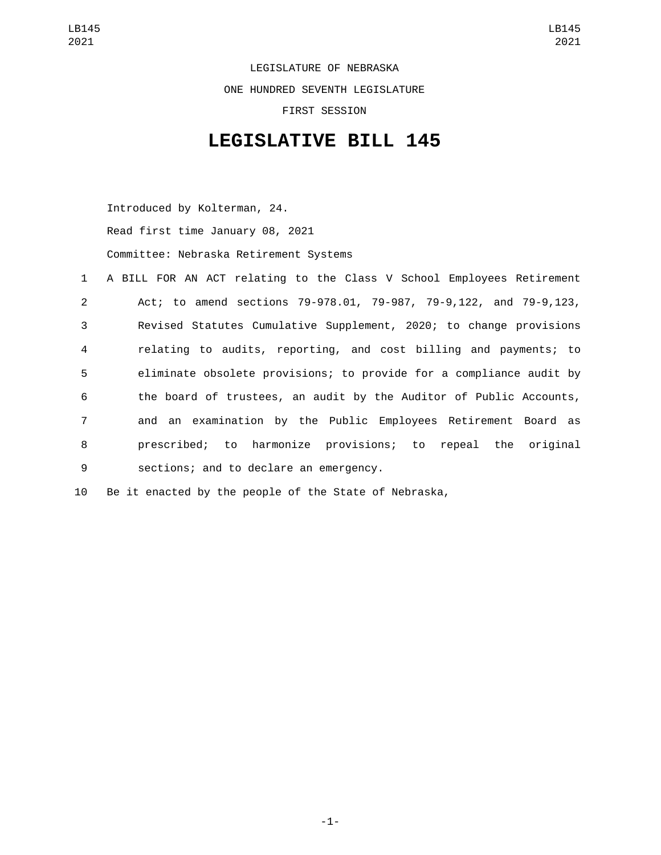LEGISLATURE OF NEBRASKA ONE HUNDRED SEVENTH LEGISLATURE FIRST SESSION

## **LEGISLATIVE BILL 145**

Introduced by Kolterman, 24. Read first time January 08, 2021

Committee: Nebraska Retirement Systems

|                 | 1 A BILL FOR AN ACT relating to the Class V School Employees Retirement |
|-----------------|-------------------------------------------------------------------------|
| $2^{\circ}$     | Act; to amend sections 79-978.01, 79-987, 79-9,122, and 79-9,123,       |
| $\mathbf{3}$    | Revised Statutes Cumulative Supplement, 2020; to change provisions      |
| $\overline{4}$  | relating to audits, reporting, and cost billing and payments; to        |
| $5\overline{)}$ | eliminate obsolete provisions; to provide for a compliance audit by     |
| 6               | the board of trustees, an audit by the Auditor of Public Accounts,      |
| $7\overline{ }$ | and an examination by the Public Employees Retirement Board as          |
| 8               | prescribed; to harmonize provisions; to repeal the original             |
| 9               | sections; and to declare an emergency.                                  |

10 Be it enacted by the people of the State of Nebraska,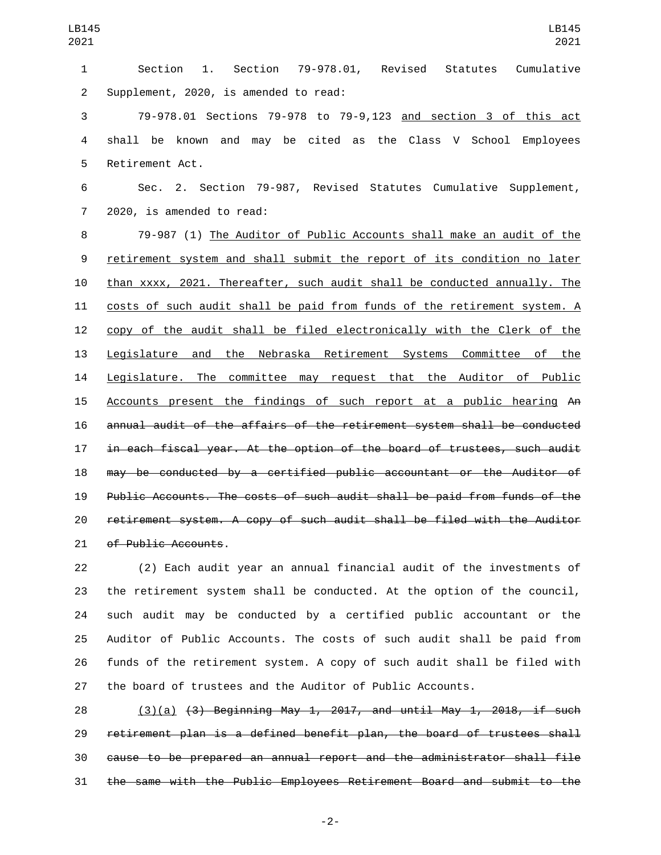| $\mathbf{1}$   | 79-978.01, Revised Statutes Cumulative<br>1.<br>Section<br>Section       |
|----------------|--------------------------------------------------------------------------|
| $\overline{2}$ | Supplement, 2020, is amended to read:                                    |
| 3              | 79-978.01 Sections 79-978 to 79-9,123 and section 3 of this act          |
| $\overline{4}$ | shall be known and may be cited as the Class V School Employees          |
| 5              | Retirement Act.                                                          |
| 6              | Sec. 2. Section 79-987, Revised Statutes Cumulative Supplement,          |
| $\overline{7}$ | 2020, is amended to read:                                                |
| 8              | 79-987 (1) The Auditor of Public Accounts shall make an audit of the     |
| 9              | retirement system and shall submit the report of its condition no later  |
| 10             | than xxxx, 2021. Thereafter, such audit shall be conducted annually. The |
| 11             | costs of such audit shall be paid from funds of the retirement system. A |
| 12             | copy of the audit shall be filed electronically with the Clerk of the    |
| 13             | Legislature and the Nebraska Retirement Systems Committee of the         |
| 14             | Legislature. The committee may request that the Auditor of Public        |
| 15             | Accounts present the findings of such report at a public hearing An      |
| 16             | annual audit of the affairs of the retirement system shall be conducted  |
| 17             | in each fiscal year. At the option of the board of trustees, such audit  |
| 18             | may be conducted by a certified public accountant or the Auditor of      |
| 19             | Public Accounts. The costs of such audit shall be paid from funds of the |
| 20             | retirement system. A copy of such audit shall be filed with the Auditor  |
| 21             | of Public Accounts.                                                      |
|                |                                                                          |

 (2) Each audit year an annual financial audit of the investments of the retirement system shall be conducted. At the option of the council, such audit may be conducted by a certified public accountant or the Auditor of Public Accounts. The costs of such audit shall be paid from funds of the retirement system. A copy of such audit shall be filed with the board of trustees and the Auditor of Public Accounts.

 (3)(a) (3) Beginning May 1, 2017, and until May 1, 2018, if such retirement plan is a defined benefit plan, the board of trustees shall cause to be prepared an annual report and the administrator shall file the same with the Public Employees Retirement Board and submit to the

-2-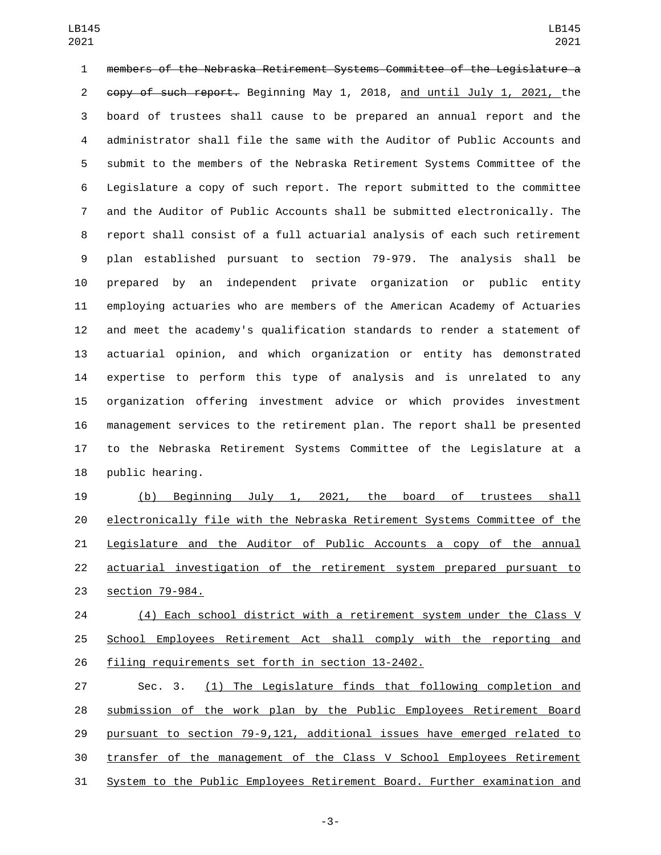members of the Nebraska Retirement Systems Committee of the Legislature a copy of such report. Beginning May 1, 2018, and until July 1, 2021, the board of trustees shall cause to be prepared an annual report and the administrator shall file the same with the Auditor of Public Accounts and submit to the members of the Nebraska Retirement Systems Committee of the Legislature a copy of such report. The report submitted to the committee and the Auditor of Public Accounts shall be submitted electronically. The report shall consist of a full actuarial analysis of each such retirement plan established pursuant to section 79-979. The analysis shall be prepared by an independent private organization or public entity employing actuaries who are members of the American Academy of Actuaries and meet the academy's qualification standards to render a statement of actuarial opinion, and which organization or entity has demonstrated expertise to perform this type of analysis and is unrelated to any organization offering investment advice or which provides investment management services to the retirement plan. The report shall be presented to the Nebraska Retirement Systems Committee of the Legislature at a 18 public hearing.

 (b) Beginning July 1, 2021, the board of trustees shall electronically file with the Nebraska Retirement Systems Committee of the Legislature and the Auditor of Public Accounts a copy of the annual actuarial investigation of the retirement system prepared pursuant to 23 section 79-984.

 (4) Each school district with a retirement system under the Class V School Employees Retirement Act shall comply with the reporting and 26 filing requirements set forth in section 13-2402.

 Sec. 3. (1) The Legislature finds that following completion and submission of the work plan by the Public Employees Retirement Board pursuant to section 79-9,121, additional issues have emerged related to transfer of the management of the Class V School Employees Retirement System to the Public Employees Retirement Board. Further examination and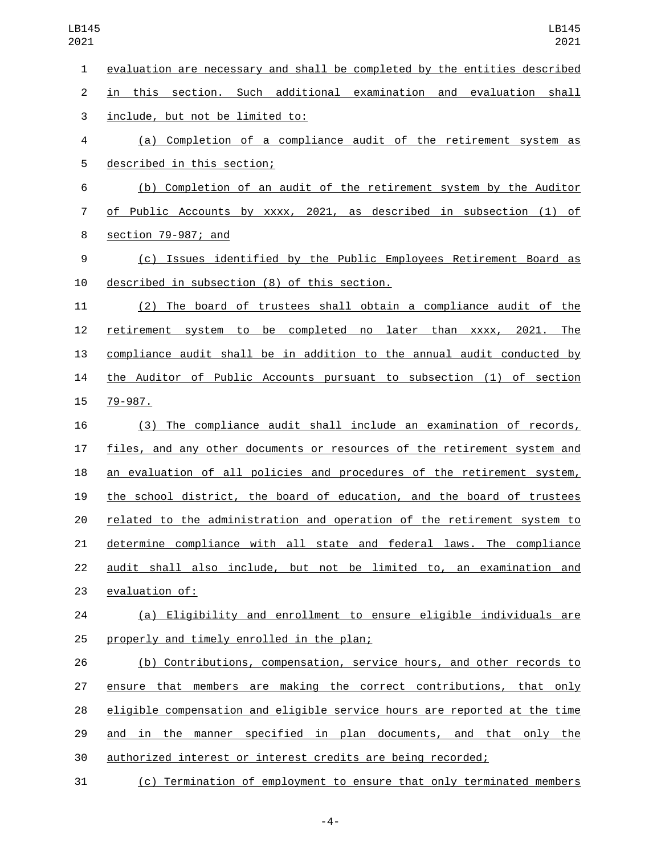evaluation are necessary and shall be completed by the entities described in this section. Such additional examination and evaluation shall 3 include, but not be limited to: (a) Completion of a compliance audit of the retirement system as 5 described in this section; (b) Completion of an audit of the retirement system by the Auditor of Public Accounts by xxxx, 2021, as described in subsection (1) of 8 section 79-987; and (c) Issues identified by the Public Employees Retirement Board as 10 described in subsection (8) of this section. (2) The board of trustees shall obtain a compliance audit of the retirement system to be completed no later than xxxx, 2021. The compliance audit shall be in addition to the annual audit conducted by the Auditor of Public Accounts pursuant to subsection (1) of section 15 79-987. (3) The compliance audit shall include an examination of records, files, and any other documents or resources of the retirement system and an evaluation of all policies and procedures of the retirement system, the school district, the board of education, and the board of trustees related to the administration and operation of the retirement system to determine compliance with all state and federal laws. The compliance audit shall also include, but not be limited to, an examination and 23 evaluation of: (a) Eligibility and enrollment to ensure eligible individuals are 25 properly and timely enrolled in the plan; (b) Contributions, compensation, service hours, and other records to ensure that members are making the correct contributions, that only eligible compensation and eligible service hours are reported at the time and in the manner specified in plan documents, and that only the

authorized interest or interest credits are being recorded;

(c) Termination of employment to ensure that only terminated members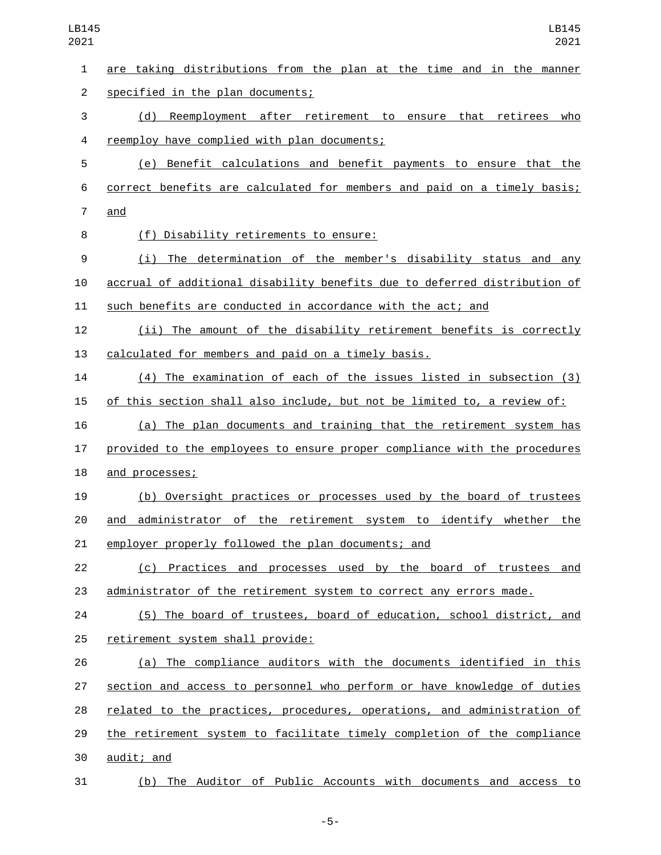| $\mathbf{1}$   | are taking distributions from the plan at the time and in the manner      |
|----------------|---------------------------------------------------------------------------|
| $\overline{2}$ | specified in the plan documents;                                          |
| 3              | (d) Reemployment after retirement to ensure that retirees<br>who          |
| 4              | reemploy have complied with plan documents;                               |
| 5              | (e) Benefit calculations and benefit payments to ensure that the          |
| 6              | correct benefits are calculated for members and paid on a timely basis;   |
| 7              | and                                                                       |
| 8              | (f) Disability retirements to ensure:                                     |
| 9              | (i) The determination of the member's disability status and any           |
| 10             | accrual of additional disability benefits due to deferred distribution of |
| 11             | such benefits are conducted in accordance with the act; and               |
| 12             | (ii) The amount of the disability retirement benefits is correctly        |
| 13             | calculated for members and paid on a timely basis.                        |
| 14             | (4) The examination of each of the issues listed in subsection (3)        |
| 15             | of this section shall also include, but not be limited to, a review of:   |
| 16             | (a) The plan documents and training that the retirement system has        |
| 17             | provided to the employees to ensure proper compliance with the procedures |
| 18             | and processes;                                                            |
| 19             | (b) Oversight practices or processes used by the board of trustees        |
| 20             | and administrator of the retirement system to identify whether the        |
| 21             | employer properly followed the plan documents; and                        |
| 22             | (c) Practices and processes used by the board of trustees and             |
| 23             | administrator of the retirement system to correct any errors made.        |
| 24             | (5) The board of trustees, board of education, school district, and       |
| 25             | retirement system shall provide:                                          |
| 26             | (a) The compliance auditors with the documents identified in this         |
| 27             | section and access to personnel who perform or have knowledge of duties   |
| 28             | related to the practices, procedures, operations, and administration of   |
| 29             | the retirement system to facilitate timely completion of the compliance   |
| 30             | audit; and                                                                |
| 31             | (b) The Auditor of Public Accounts with documents and access to           |

-5-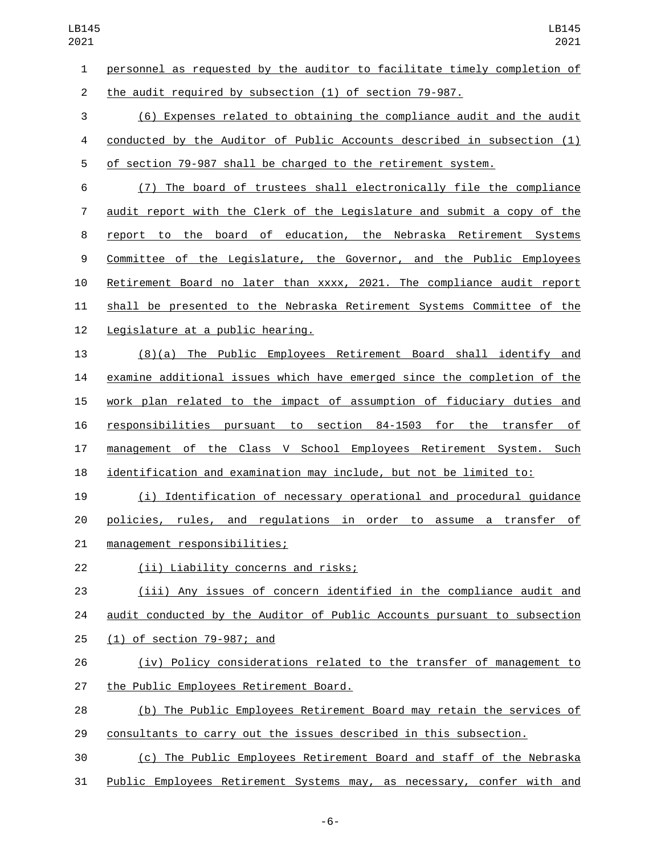personnel as requested by the auditor to facilitate timely completion of the audit required by subsection (1) of section 79-987.

 (6) Expenses related to obtaining the compliance audit and the audit conducted by the Auditor of Public Accounts described in subsection (1) of section 79-987 shall be charged to the retirement system.

 (7) The board of trustees shall electronically file the compliance audit report with the Clerk of the Legislature and submit a copy of the report to the board of education, the Nebraska Retirement Systems Committee of the Legislature, the Governor, and the Public Employees Retirement Board no later than xxxx, 2021. The compliance audit report shall be presented to the Nebraska Retirement Systems Committee of the 12 Legislature at a public hearing.

 (8)(a) The Public Employees Retirement Board shall identify and examine additional issues which have emerged since the completion of the work plan related to the impact of assumption of fiduciary duties and responsibilities pursuant to section 84-1503 for the transfer of management of the Class V School Employees Retirement System. Such identification and examination may include, but not be limited to:

 (i) Identification of necessary operational and procedural guidance policies, rules, and regulations in order to assume a transfer of 21 management responsibilities;

(ii) Liability concerns and risks;22

 (iii) Any issues of concern identified in the compliance audit and audit conducted by the Auditor of Public Accounts pursuant to subsection 25 (1) of section 79-987; and

 (iv) Policy considerations related to the transfer of management to 27 the Public Employees Retirement Board.

 (b) The Public Employees Retirement Board may retain the services of consultants to carry out the issues described in this subsection.

 (c) The Public Employees Retirement Board and staff of the Nebraska 31 Public Employees Retirement Systems may, as necessary, confer with and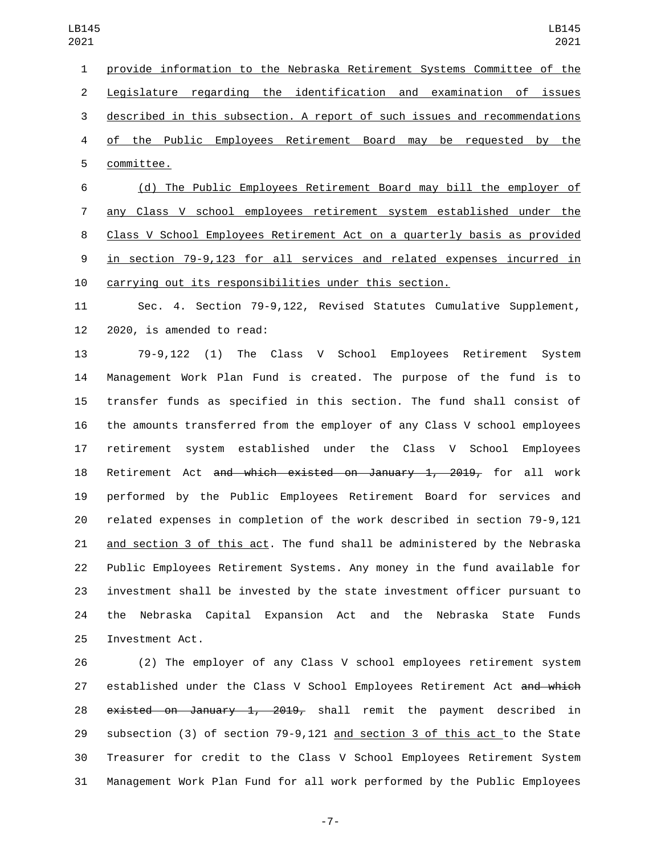provide information to the Nebraska Retirement Systems Committee of the Legislature regarding the identification and examination of issues described in this subsection. A report of such issues and recommendations of the Public Employees Retirement Board may be requested by the 5 committee. (d) The Public Employees Retirement Board may bill the employer of

 any Class V school employees retirement system established under the Class V School Employees Retirement Act on a quarterly basis as provided in section 79-9,123 for all services and related expenses incurred in carrying out its responsibilities under this section.

 Sec. 4. Section 79-9,122, Revised Statutes Cumulative Supplement, 2020, is amended to read:

 79-9,122 (1) The Class V School Employees Retirement System Management Work Plan Fund is created. The purpose of the fund is to transfer funds as specified in this section. The fund shall consist of the amounts transferred from the employer of any Class V school employees retirement system established under the Class V School Employees 18 Retirement Act a<del>nd which existed on January 1, 2019,</del> for all work performed by the Public Employees Retirement Board for services and related expenses in completion of the work described in section 79-9,121 and section 3 of this act. The fund shall be administered by the Nebraska Public Employees Retirement Systems. Any money in the fund available for investment shall be invested by the state investment officer pursuant to the Nebraska Capital Expansion Act and the Nebraska State Funds 25 Investment Act.

 (2) The employer of any Class V school employees retirement system 27 established under the Class V School Employees Retirement Act and which  $e$ xisted on January 1, 2019, shall remit the payment described in 29 subsection (3) of section 79-9,121 and section 3 of this act to the State Treasurer for credit to the Class V School Employees Retirement System Management Work Plan Fund for all work performed by the Public Employees

-7-